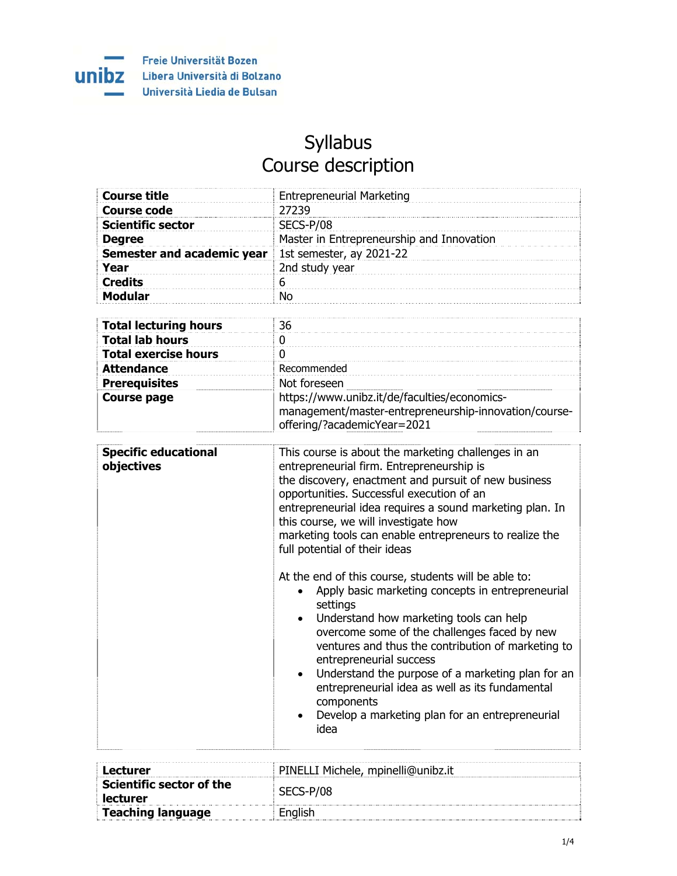

Freie Universität Bozen Libera Università di Bolzano Università Liedia de Bulsan

## **Syllabus** Course description

| <b>Course title</b>               | <b>Entrepreneurial Marketing</b>                                                                 |
|-----------------------------------|--------------------------------------------------------------------------------------------------|
| <b>Course code</b>                | 27239                                                                                            |
| <b>Scientific sector</b>          | SECS-P/08                                                                                        |
| <b>Degree</b>                     | Master in Entrepreneurship and Innovation                                                        |
| <b>Semester and academic year</b> | 1st semester, ay 2021-22                                                                         |
| Year                              | 2nd study year                                                                                   |
| <b>Credits</b>                    | 6                                                                                                |
| <b>Modular</b>                    | <b>No</b>                                                                                        |
|                                   |                                                                                                  |
| <b>Total lecturing hours</b>      | 36                                                                                               |
| <b>Total lab hours</b>            | 0                                                                                                |
| <b>Total exercise hours</b>       | 0                                                                                                |
| <b>Attendance</b>                 | Recommended                                                                                      |
| <b>Prerequisites</b>              | Not foreseen                                                                                     |
| <b>Course page</b>                | https://www.unibz.it/de/faculties/economics-                                                     |
|                                   | management/master-entrepreneurship-innovation/course-                                            |
|                                   | offering/?academicYear=2021                                                                      |
|                                   |                                                                                                  |
| <b>Specific educational</b>       | This course is about the marketing challenges in an                                              |
| objectives                        | entrepreneurial firm. Entrepreneurship is                                                        |
|                                   | the discovery, enactment and pursuit of new business                                             |
|                                   | opportunities. Successful execution of an                                                        |
|                                   | entrepreneurial idea requires a sound marketing plan. In<br>this course, we will investigate how |
|                                   | marketing tools can enable entrepreneurs to realize the                                          |
|                                   | full potential of their ideas                                                                    |
|                                   |                                                                                                  |
|                                   | At the end of this course, students will be able to:                                             |
|                                   | Apply basic marketing concepts in entrepreneurial<br>$\bullet$                                   |
|                                   | settings                                                                                         |
|                                   | Understand how marketing tools can help<br>$\bullet$                                             |
|                                   | overcome some of the challenges faced by new                                                     |
|                                   | ventures and thus the contribution of marketing to                                               |
|                                   | entrepreneurial success                                                                          |
|                                   | Understand the purpose of a marketing plan for an                                                |
|                                   | entrepreneurial idea as well as its fundamental                                                  |
|                                   | components                                                                                       |
|                                   | Develop a marketing plan for an entrepreneurial                                                  |
|                                   | idea                                                                                             |
|                                   |                                                                                                  |

| Lecturer                             | PINELLI Michele, mpinelli@unibz.it |
|--------------------------------------|------------------------------------|
| Scientific sector of the<br>lecturer | SECS-P/08                          |
| <b>Teaching language</b>             | English                            |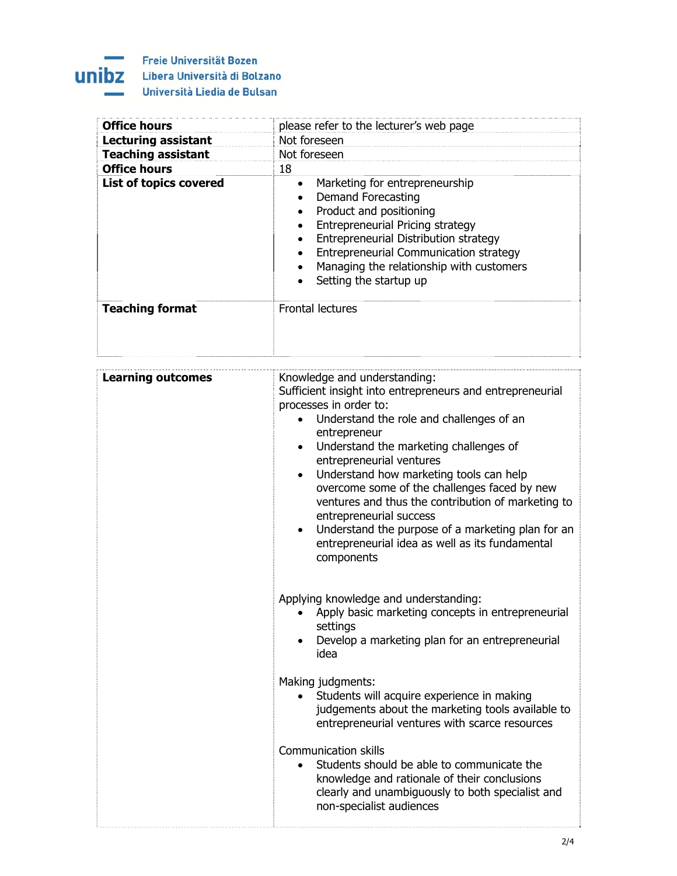

| <b>Office hours</b>        | please refer to the lecturer's web page                                                                                                                                                                                                                                                                                                                    |
|----------------------------|------------------------------------------------------------------------------------------------------------------------------------------------------------------------------------------------------------------------------------------------------------------------------------------------------------------------------------------------------------|
| <b>Lecturing assistant</b> | Not foreseen                                                                                                                                                                                                                                                                                                                                               |
| <b>Teaching assistant</b>  | Not foreseen                                                                                                                                                                                                                                                                                                                                               |
| <b>Office hours</b>        | 18                                                                                                                                                                                                                                                                                                                                                         |
| List of topics covered     | Marketing for entrepreneurship<br>$\bullet$<br>Demand Forecasting<br>$\bullet$<br>Product and positioning<br>$\bullet$<br>Entrepreneurial Pricing strategy<br>$\bullet$<br>Entrepreneurial Distribution strategy<br>$\bullet$<br>Entrepreneurial Communication strategy<br>Managing the relationship with customers<br>$\bullet$<br>Setting the startup up |
| <b>Teaching format</b>     | <b>Frontal lectures</b>                                                                                                                                                                                                                                                                                                                                    |

| <b>Learning outcomes</b> | Knowledge and understanding:<br>Sufficient insight into entrepreneurs and entrepreneurial<br>processes in order to:<br>Understand the role and challenges of an<br>entrepreneur<br>Understand the marketing challenges of<br>$\bullet$<br>entrepreneurial ventures<br>Understand how marketing tools can help<br>$\bullet$<br>overcome some of the challenges faced by new<br>ventures and thus the contribution of marketing to<br>entrepreneurial success<br>Understand the purpose of a marketing plan for an<br>$\bullet$<br>entrepreneurial idea as well as its fundamental<br>components |
|--------------------------|------------------------------------------------------------------------------------------------------------------------------------------------------------------------------------------------------------------------------------------------------------------------------------------------------------------------------------------------------------------------------------------------------------------------------------------------------------------------------------------------------------------------------------------------------------------------------------------------|
|                          | Applying knowledge and understanding:<br>Apply basic marketing concepts in entrepreneurial<br>settings<br>Develop a marketing plan for an entrepreneurial<br>idea                                                                                                                                                                                                                                                                                                                                                                                                                              |
|                          | Making judgments:<br>Students will acquire experience in making<br>judgements about the marketing tools available to<br>entrepreneurial ventures with scarce resources                                                                                                                                                                                                                                                                                                                                                                                                                         |
|                          | <b>Communication skills</b><br>Students should be able to communicate the<br>knowledge and rationale of their conclusions<br>clearly and unambiguously to both specialist and<br>non-specialist audiences                                                                                                                                                                                                                                                                                                                                                                                      |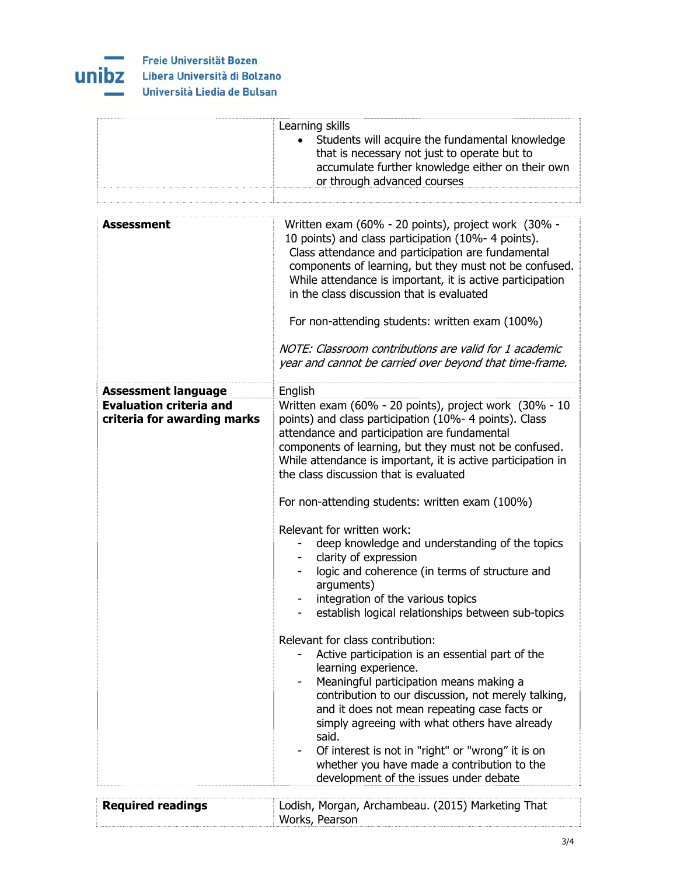

|                                | Learning skills<br>Students will acquire the fundamental knowledge<br>that is necessary not just to operate but to<br>accumulate further knowledge either on their own<br>or through advanced courses                                                                                                                                                                                                                                                                                                                                                                                                                                                                                                                                                                                                                                                                                                                                                                                                                                                                       |
|--------------------------------|-----------------------------------------------------------------------------------------------------------------------------------------------------------------------------------------------------------------------------------------------------------------------------------------------------------------------------------------------------------------------------------------------------------------------------------------------------------------------------------------------------------------------------------------------------------------------------------------------------------------------------------------------------------------------------------------------------------------------------------------------------------------------------------------------------------------------------------------------------------------------------------------------------------------------------------------------------------------------------------------------------------------------------------------------------------------------------|
|                                |                                                                                                                                                                                                                                                                                                                                                                                                                                                                                                                                                                                                                                                                                                                                                                                                                                                                                                                                                                                                                                                                             |
|                                |                                                                                                                                                                                                                                                                                                                                                                                                                                                                                                                                                                                                                                                                                                                                                                                                                                                                                                                                                                                                                                                                             |
| Assessment                     | Written exam (60% - 20 points), project work (30% -<br>10 points) and class participation (10%- 4 points).<br>Class attendance and participation are fundamental<br>components of learning, but they must not be confused.<br>While attendance is important, it is active participation<br>in the class discussion that is evaluated                                                                                                                                                                                                                                                                                                                                                                                                                                                                                                                                                                                                                                                                                                                                        |
|                                | For non-attending students: written exam (100%)                                                                                                                                                                                                                                                                                                                                                                                                                                                                                                                                                                                                                                                                                                                                                                                                                                                                                                                                                                                                                             |
|                                | NOTE: Classroom contributions are valid for 1 academic<br>year and cannot be carried over beyond that time-frame.                                                                                                                                                                                                                                                                                                                                                                                                                                                                                                                                                                                                                                                                                                                                                                                                                                                                                                                                                           |
| <b>Assessment language</b>     | English                                                                                                                                                                                                                                                                                                                                                                                                                                                                                                                                                                                                                                                                                                                                                                                                                                                                                                                                                                                                                                                                     |
| <b>Evaluation criteria and</b> | Written exam (60% - 20 points), project work (30% - 10                                                                                                                                                                                                                                                                                                                                                                                                                                                                                                                                                                                                                                                                                                                                                                                                                                                                                                                                                                                                                      |
| criteria for awarding marks    | points) and class participation (10%- 4 points). Class<br>attendance and participation are fundamental<br>components of learning, but they must not be confused.<br>While attendance is important, it is active participation in<br>the class discussion that is evaluated<br>For non-attending students: written exam (100%)<br>Relevant for written work:<br>deep knowledge and understanding of the topics<br>clarity of expression<br>logic and coherence (in terms of structure and<br>arguments)<br>integration of the various topics<br>establish logical relationships between sub-topics<br>Relevant for class contribution:<br>Active participation is an essential part of the<br>learning experience.<br>Meaningful participation means making a<br>contribution to our discussion, not merely talking,<br>and it does not mean repeating case facts or<br>simply agreeing with what others have already<br>said.<br>Of interest is not in "right" or "wrong" it is on<br>whether you have made a contribution to the<br>development of the issues under debate |
| <b>Required readings</b>       | Lodish, Morgan, Archambeau. (2015) Marketing That                                                                                                                                                                                                                                                                                                                                                                                                                                                                                                                                                                                                                                                                                                                                                                                                                                                                                                                                                                                                                           |
|                                | Works, Pearson                                                                                                                                                                                                                                                                                                                                                                                                                                                                                                                                                                                                                                                                                                                                                                                                                                                                                                                                                                                                                                                              |